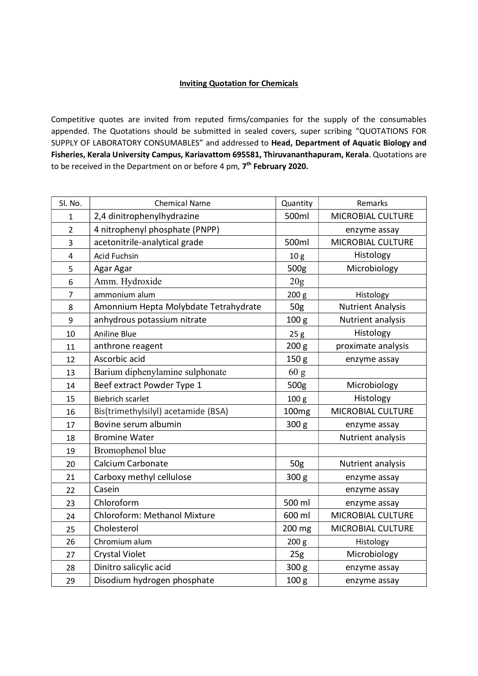## Inviting Quotation for Chemicals

Competitive quotes are invited from reputed firms/companies for the supply of the consumables appended. The Quotations should be submitted in sealed covers, super scribing "QUOTATIONS FOR SUPPLY OF LABORATORY CONSUMABLES" and addressed to Head, Department of Aquatic Biology and Fisheries, Kerala University Campus, Kariavattom 695581, Thiruvananthapuram, Kerala. Quotations are to be received in the Department on or before 4 pm, 7<sup>th</sup> February 2020.

| Sl. No.        | <b>Chemical Name</b>                  | Quantity          | Remarks                  |
|----------------|---------------------------------------|-------------------|--------------------------|
| $\mathbf{1}$   | 2,4 dinitrophenylhydrazine            | 500ml             | MICROBIAL CULTURE        |
| $\overline{2}$ | 4 nitrophenyl phosphate (PNPP)        |                   | enzyme assay             |
| 3              | acetonitrile-analytical grade         | 500ml             | MICROBIAL CULTURE        |
| 4              | Acid Fuchsin                          | 10 <sub>g</sub>   | Histology                |
| 5              | Agar Agar                             | 500g              | Microbiology             |
| 6              | Amm. Hydroxide                        | 20g               |                          |
| 7              | ammonium alum                         | 200 g             | Histology                |
| 8              | Amonnium Hepta Molybdate Tetrahydrate | 50 <sub>g</sub>   | <b>Nutrient Analysis</b> |
| 9              | anhydrous potassium nitrate           | 100 <sub>g</sub>  | Nutrient analysis        |
| 10             | Aniline Blue                          | 25g               | Histology                |
| 11             | anthrone reagent                      | 200 g             | proximate analysis       |
| 12             | Ascorbic acid                         | 150 <sub>g</sub>  | enzyme assay             |
| 13             | Barium diphenylamine sulphonate       | 60 g              |                          |
| 14             | Beef extract Powder Type 1            | 500g              | Microbiology             |
| 15             | <b>Biebrich scarlet</b>               | 100 <sub>g</sub>  | Histology                |
| 16             | Bis(trimethylsilyl) acetamide (BSA)   | 100 <sub>mg</sub> | MICROBIAL CULTURE        |
| 17             | Bovine serum albumin                  | 300 g             | enzyme assay             |
| 18             | <b>Bromine Water</b>                  |                   | Nutrient analysis        |
| 19             | Bromophenol blue                      |                   |                          |
| 20             | Calcium Carbonate                     | 50g               | Nutrient analysis        |
| 21             | Carboxy methyl cellulose              | 300 <sub>g</sub>  | enzyme assay             |
| 22             | Casein                                |                   | enzyme assay             |
| 23             | Chloroform                            | 500 ml            | enzyme assay             |
| 24             | Chloroform: Methanol Mixture          | 600 ml            | MICROBIAL CULTURE        |
| 25             | Cholesterol                           | 200 mg            | MICROBIAL CULTURE        |
| 26             | Chromium alum                         | 200 g             | Histology                |
| 27             | <b>Crystal Violet</b>                 | 25g               | Microbiology             |
| 28             | Dinitro salicylic acid                | 300 <sub>g</sub>  | enzyme assay             |
| 29             | Disodium hydrogen phosphate           | 100 <sub>g</sub>  | enzyme assay             |
|                |                                       |                   |                          |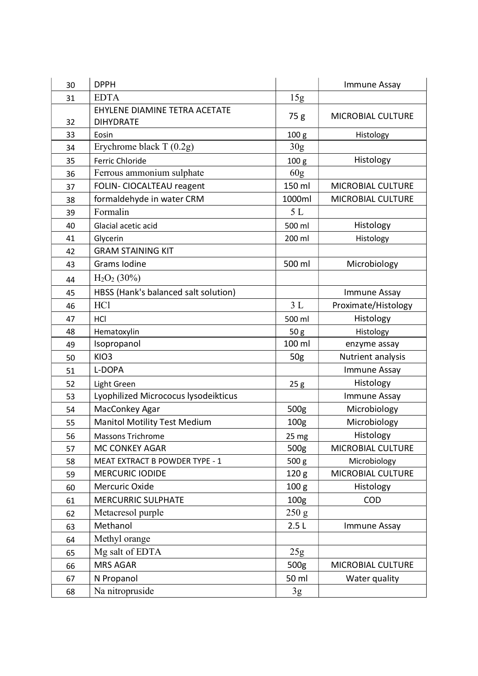| 30 | <b>DPPH</b>                                       |                  | Immune Assay        |
|----|---------------------------------------------------|------------------|---------------------|
| 31 | <b>EDTA</b>                                       | 15g              |                     |
| 32 | EHYLENE DIAMINE TETRA ACETATE<br><b>DIHYDRATE</b> | 75 g             | MICROBIAL CULTURE   |
| 33 | Eosin                                             | 100 <sub>g</sub> | Histology           |
| 34 | Erychrome black T (0.2g)                          | 30 <sub>g</sub>  |                     |
| 35 | Ferric Chloride                                   | 100 <sub>g</sub> | Histology           |
| 36 | Ferrous ammonium sulphate                         | 60g              |                     |
| 37 | FOLIN- CIOCALTEAU reagent                         | 150 ml           | MICROBIAL CULTURE   |
| 38 | formaldehyde in water CRM                         | 1000ml           | MICROBIAL CULTURE   |
| 39 | Formalin                                          | 5L               |                     |
| 40 | Glacial acetic acid                               | 500 ml           | Histology           |
| 41 | Glycerin                                          | 200 ml           | Histology           |
| 42 | <b>GRAM STAINING KIT</b>                          |                  |                     |
| 43 | Grams Iodine                                      | 500 ml           | Microbiology        |
| 44 | $H2O2$ (30%)                                      |                  |                     |
| 45 | HBSS (Hank's balanced salt solution)              |                  | Immune Assay        |
| 46 | HC1                                               | 3L               | Proximate/Histology |
| 47 | <b>HCI</b>                                        | 500 ml           | Histology           |
| 48 | Hematoxylin                                       | 50 g             | Histology           |
| 49 | Isopropanol                                       | 100 ml           | enzyme assay        |
| 50 | KIO <sub>3</sub>                                  | 50g              | Nutrient analysis   |
| 51 | L-DOPA                                            |                  | Immune Assay        |
| 52 | Light Green                                       | 25g              | Histology           |
| 53 | Lyophilized Micrococus lysodeikticus              |                  | Immune Assay        |
| 54 | MacConkey Agar                                    | 500g             | Microbiology        |
| 55 | <b>Manitol Motility Test Medium</b>               | 100 <sub>g</sub> | Microbiology        |
| 56 | Massons Trichrome                                 | 25 mg            | Histology           |
| 57 | MC CONKEY AGAR                                    | 500 <sub>g</sub> | MICROBIAL CULTURE   |
| 58 | MEAT EXTRACT B POWDER TYPE - 1                    | 500 g            | Microbiology        |
| 59 | <b>MERCURIC IODIDE</b>                            | 120 <sub>g</sub> | MICROBIAL CULTURE   |
| 60 | Mercuric Oxide                                    | 100 <sub>g</sub> | Histology           |
| 61 | <b>MERCURRIC SULPHATE</b>                         | 100 <sub>g</sub> | <b>COD</b>          |
| 62 | Metacresol purple                                 | 250 g            |                     |
| 63 | Methanol                                          | 2.5L             | Immune Assay        |
| 64 | Methyl orange                                     |                  |                     |
| 65 | Mg salt of EDTA                                   | 25g              |                     |
| 66 | <b>MRS AGAR</b>                                   | 500g             | MICROBIAL CULTURE   |
| 67 | N Propanol                                        | 50 ml            | Water quality       |
| 68 | Na nitropruside                                   | 3g               |                     |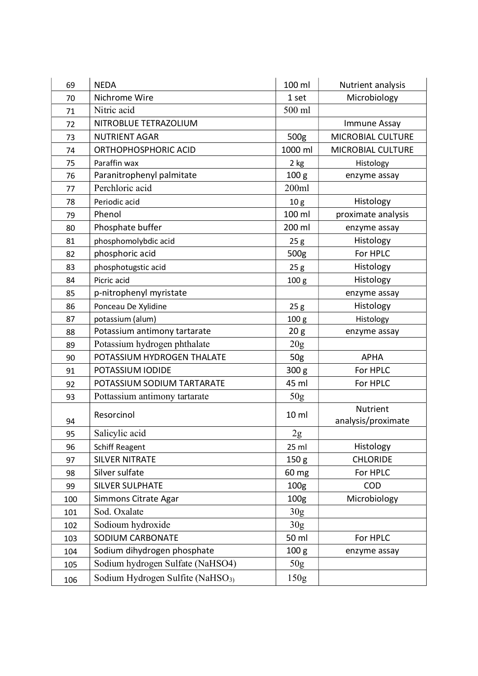| 69  | <b>NEDA</b>                                  | 100 ml           | Nutrient analysis                     |
|-----|----------------------------------------------|------------------|---------------------------------------|
| 70  | Nichrome Wire                                | 1 set            | Microbiology                          |
| 71  | Nitric acid                                  | 500 ml           |                                       |
| 72  | NITROBLUE TETRAZOLIUM                        |                  | Immune Assay                          |
| 73  | <b>NUTRIENT AGAR</b>                         | 500g             | MICROBIAL CULTURE                     |
| 74  | ORTHOPHOSPHORIC ACID                         | 1000 ml          | MICROBIAL CULTURE                     |
| 75  | Paraffin wax                                 | $2$ kg           | Histology                             |
| 76  | Paranitrophenyl palmitate                    | 100 <sub>g</sub> | enzyme assay                          |
| 77  | Perchloric acid                              | 200ml            |                                       |
| 78  | Periodic acid                                | 10 <sub>g</sub>  | Histology                             |
| 79  | Phenol                                       | 100 ml           | proximate analysis                    |
| 80  | Phosphate buffer                             | 200 ml           | enzyme assay                          |
| 81  | phosphomolybdic acid                         | 25g              | Histology                             |
| 82  | phosphoric acid                              | 500g             | For HPLC                              |
| 83  | phosphotugstic acid                          | 25g              | Histology                             |
| 84  | Picric acid                                  | 100 <sub>g</sub> | Histology                             |
| 85  | p-nitrophenyl myristate                      |                  | enzyme assay                          |
| 86  | Ponceau De Xylidine                          | 25g              | Histology                             |
| 87  | potassium (alum)                             | 100 <sub>g</sub> | Histology                             |
| 88  | Potassium antimony tartarate                 | 20 <sub>g</sub>  | enzyme assay                          |
| 89  | Potassium hydrogen phthalate                 | 20g              |                                       |
| 90  | POTASSIUM HYDROGEN THALATE                   | 50g              | <b>APHA</b>                           |
| 91  | POTASSIUM IODIDE                             | 300 <sub>g</sub> | For HPLC                              |
| 92  | POTASSIUM SODIUM TARTARATE                   | 45 ml            | For HPLC                              |
| 93  | Pottassium antimony tartarate                | 50g              |                                       |
| 94  | Resorcinol                                   | 10 ml            | <b>Nutrient</b><br>analysis/proximate |
| 95  | Salicylic acid                               | 2g               |                                       |
| 96  | Schiff Reagent                               | $25$ ml          | Histology                             |
| 97  | <b>SILVER NITRATE</b>                        | 150 <sub>g</sub> | <b>CHLORIDE</b>                       |
| 98  | Silver sulfate                               | 60 mg            | For HPLC                              |
| 99  | SILVER SULPHATE                              | 100 <sub>g</sub> | <b>COD</b>                            |
| 100 | Simmons Citrate Agar                         | 100 <sub>g</sub> | Microbiology                          |
| 101 | Sod. Oxalate                                 | 30 <sub>g</sub>  |                                       |
| 102 | Sodioum hydroxide                            | 30 <sub>g</sub>  |                                       |
| 103 | SODIUM CARBONATE                             | 50 ml            | For HPLC                              |
| 104 | Sodium dihydrogen phosphate                  | 100 <sub>g</sub> | enzyme assay                          |
| 105 | Sodium hydrogen Sulfate (NaHSO4)             | 50g              |                                       |
| 106 | Sodium Hydrogen Sulfite (NaHSO <sub>3)</sub> | 150g             |                                       |
|     |                                              |                  |                                       |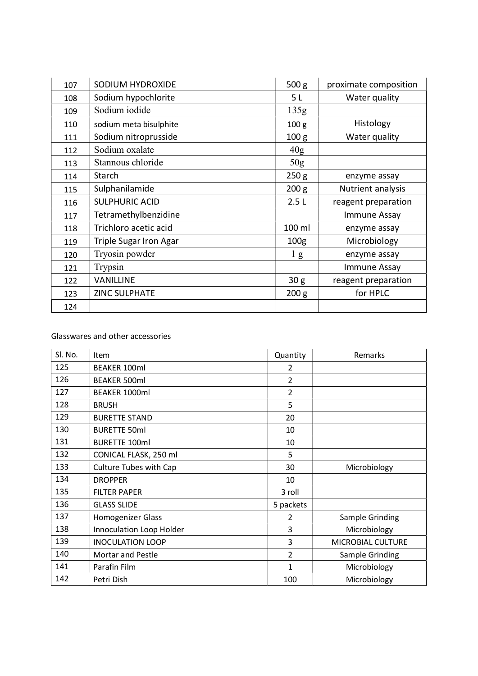| 107 | SODIUM HYDROXIDE       | 500 <sub>g</sub> | proximate composition |
|-----|------------------------|------------------|-----------------------|
| 108 | Sodium hypochlorite    | 5 <sub>L</sub>   | Water quality         |
|     | Sodium iodide          | 135g             |                       |
| 109 |                        |                  |                       |
| 110 | sodium meta bisulphite | 100 <sub>g</sub> | Histology             |
| 111 | Sodium nitroprusside   | 100 <sub>g</sub> | Water quality         |
| 112 | Sodium oxalate         | 40g              |                       |
| 113 | Stannous chloride      | 50 <sub>g</sub>  |                       |
| 114 | Starch                 | 250 g            | enzyme assay          |
| 115 | Sulphanilamide         | 200 g            | Nutrient analysis     |
| 116 | <b>SULPHURIC ACID</b>  | 2.5L             | reagent preparation   |
| 117 | Tetramethylbenzidine   |                  | Immune Assay          |
| 118 | Trichloro acetic acid  | 100 ml           | enzyme assay          |
| 119 | Triple Sugar Iron Agar | 100 <sub>g</sub> | Microbiology          |
| 120 | Tryosin powder         | l g              | enzyme assay          |
| 121 | Trypsin                |                  | Immune Assay          |
| 122 | <b>VANILLINE</b>       | 30 g             | reagent preparation   |
| 123 | <b>ZINC SULPHATE</b>   | 200 g            | for HPLC              |
| 124 |                        |                  |                       |

## Glasswares and other accessories

| Sl. No. | Item                     | Quantity       | Remarks           |
|---------|--------------------------|----------------|-------------------|
| 125     | <b>BEAKER 100ml</b>      | 2              |                   |
| 126     | <b>BEAKER 500ml</b>      | 2              |                   |
| 127     | BEAKER 1000ml            | $\overline{2}$ |                   |
| 128     | <b>BRUSH</b>             | 5              |                   |
| 129     | <b>BURETTE STAND</b>     | 20             |                   |
| 130     | <b>BURETTE 50ml</b>      | 10             |                   |
| 131     | <b>BURETTE 100ml</b>     | 10             |                   |
| 132     | CONICAL FLASK, 250 ml    | 5              |                   |
| 133     | Culture Tubes with Cap   | 30             | Microbiology      |
| 134     | <b>DROPPER</b>           | 10             |                   |
| 135     | <b>FILTER PAPER</b>      | 3 roll         |                   |
| 136     | <b>GLASS SLIDE</b>       | 5 packets      |                   |
| 137     | Homogenizer Glass        | $\overline{2}$ | Sample Grinding   |
| 138     | Innoculation Loop Holder | 3              | Microbiology      |
| 139     | <b>INOCULATION LOOP</b>  | 3              | MICROBIAL CULTURE |
| 140     | Mortar and Pestle        | 2              | Sample Grinding   |
| 141     | Parafin Film             | 1              | Microbiology      |
| 142     | Petri Dish               | 100            | Microbiology      |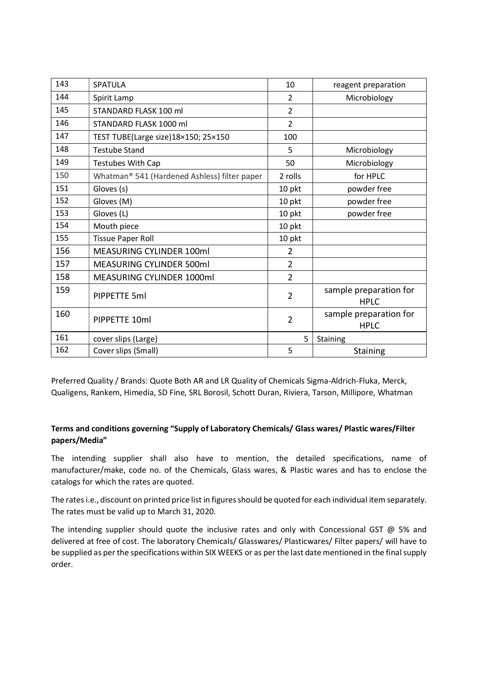| 143 | SPATULA                                      | 10             | reagent preparation                   |
|-----|----------------------------------------------|----------------|---------------------------------------|
| 144 | Spirit Lamp                                  | 2              | Microbiology                          |
| 145 | STANDARD FLASK 100 ml                        | $\overline{2}$ |                                       |
| 146 | STANDARD FLASK 1000 ml                       | $\overline{2}$ |                                       |
| 147 | TEST TUBE(Large size)18×150; 25×150          | 100            |                                       |
| 148 | <b>Testube Stand</b>                         | 5              | Microbiology                          |
| 149 | Testubes With Cap                            | 50             | Microbiology                          |
| 150 | Whatman® 541 (Hardened Ashless) filter paper | 2 rolls        | for HPLC                              |
| 151 | Gloves (s)                                   | 10 pkt         | powder free                           |
| 152 | Gloves (M)                                   | 10 pkt         | powder free                           |
| 153 | Gloves (L)                                   | 10 pkt         | powder free                           |
| 154 | Mouth piece                                  | 10 pkt         |                                       |
| 155 | <b>Tissue Paper Roll</b>                     | 10 pkt         |                                       |
| 156 | MEASURING CYLINDER 100ml                     | 2              |                                       |
| 157 | MEASURING CYLINDER 500ml                     | 2              |                                       |
| 158 | MEASURING CYLINDER 1000ml                    | $\overline{2}$ |                                       |
| 159 | PIPPETTE 5ml                                 | $\overline{2}$ | sample preparation for<br><b>HPLC</b> |
| 160 | PIPPETTE 10ml                                | $\overline{2}$ | sample preparation for<br><b>HPLC</b> |
| 161 | cover slips (Large)                          | 5              | <b>Staining</b>                       |
| 162 | Cover slips (Small)                          | 5              | <b>Staining</b>                       |

Preferred Quality / Brands: Quote Both AR and LR Quality of Chemicals Sigma-Aldrich-Fluka, Merck, Qualigens, Rankem, Himedia, SD Fine, SRL Borosil, Schott Duran, Riviera, Tarson, Millipore, Whatman

## Terms and conditions governing "Supply of Laboratory Chemicals/ Glass wares/ Plastic wares/Filter papers/Media"

The intending supplier shall also have to mention, the detailed specifications, name of manufacturer/make, code no. of the Chemicals, Glass wares, & Plastic wares and has to enclose the catalogs for which the rates are quoted.

The rates i.e., discount on printed price list in figures should be quoted for each individual item separately. The rates must be valid up to March 31, 2020.

The intending supplier should quote the inclusive rates and only with Concessional GST  $@$  5% and delivered at free of cost. The laboratory Chemicals/ Glasswares/ Plasticwares/ Filter papers/ will have to be supplied as per the specifications within SIX WEEKS or as per the last date mentioned in the final supply order.